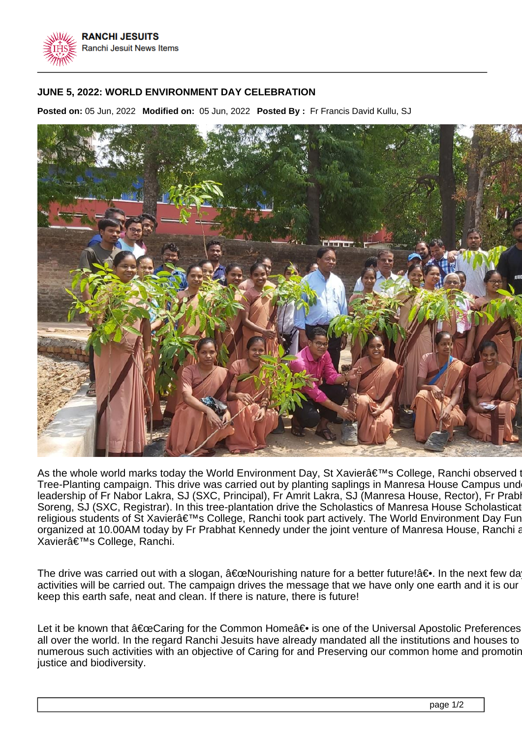

## **JUNE 5, 2022: WORLD ENVIRONMENT DAY CELEBRATION**

**Posted on:** 05 Jun, 2022 **Modified on:** 05 Jun, 2022 **Posted By :** Fr Francis David Kullu, SJ



As the whole world marks today the World Environment Day, St Xavier's College, Ranchi observed Tree-Planting campaign. This drive was carried out by planting saplings in Manresa House Campus und leadership of Fr Nabor Lakra, SJ (SXC, Principal), Fr Amrit Lakra, SJ (Manresa House, Rector), Fr Prabl Soreng, SJ (SXC, Registrar). In this tree-plantation drive the Scholastics of Manresa House Scholasticate religious students of St Xavier's College, Ranchi took part actively. The World Environment Day Fur organized at 10.00AM today by Fr Prabhat Kennedy under the joint venture of Manresa House, Ranchi and Strangh Xavierâ€<sup>™</sup>s College, Ranchi.

The drive was carried out with a slogan,  $\hat{\mathbf{a}} \in \mathbb{C}$ Nourishing nature for a better future! $\hat{\mathbf{a}} \in \mathbb{R}$ . In the next few days many such a such a such a such a such a such a activities will be carried out. The campaign drives the message that we have only one earth and it is our keep this earth safe, neat and clean. If there is nature, there is future!

Let it be known that  $â€ceCaring$  for the Common Home $―$  is one of the Universal Apostolic Preferences all over the world. In the regard Ranchi Jesuits have already mandated all the institutions and houses to numerous such activities with an objective of Caring for and Preserving our common home and promoting justice and biodiversity.